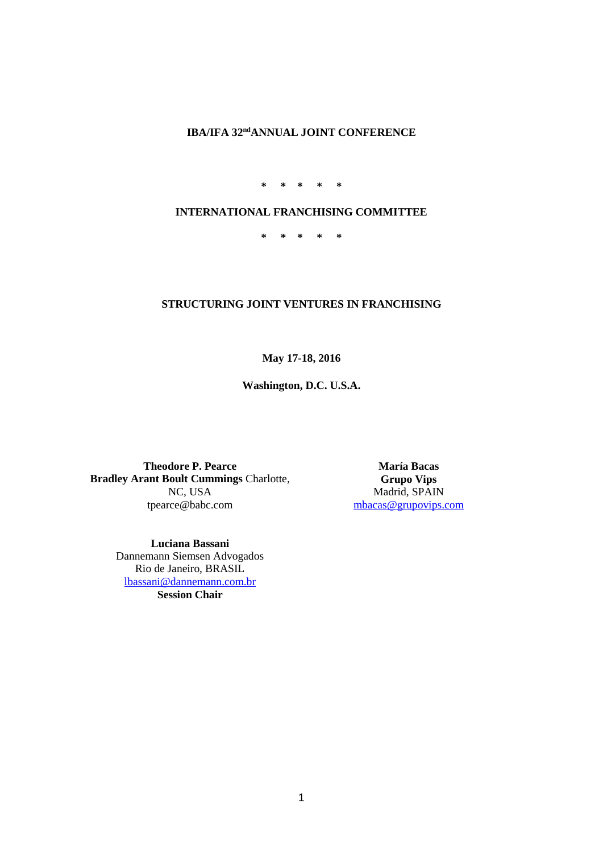## **IBA/IFA 32<sup>nd</sup>ANNUAL JOINT CONFERENCE**

**\* \* \* \* \***

## **INTERNATIONAL FRANCHISING COMMITTEE**

**\* \* \* \* \***

## **STRUCTURING JOINT VENTURES IN FRANCHISING**

**May 17-18, 2016**

**Washington, D.C. U.S.A.**

**Theodore P. Pearce Bradley Arant Boult Cummings** Charlotte, NC, USA tpearce@babc.com

**María Bacas Grupo Vips** Madrid, SPAIN [mbacas@grupovips.com](mailto:mbacas@grupovips.com)

**Luciana Bassani** Dannemann Siemsen Advogados Rio de Janeiro, BRASIL [lbassani@dannemann.com.br](mailto:lbassani@dannemann.com.br) **Session Chair**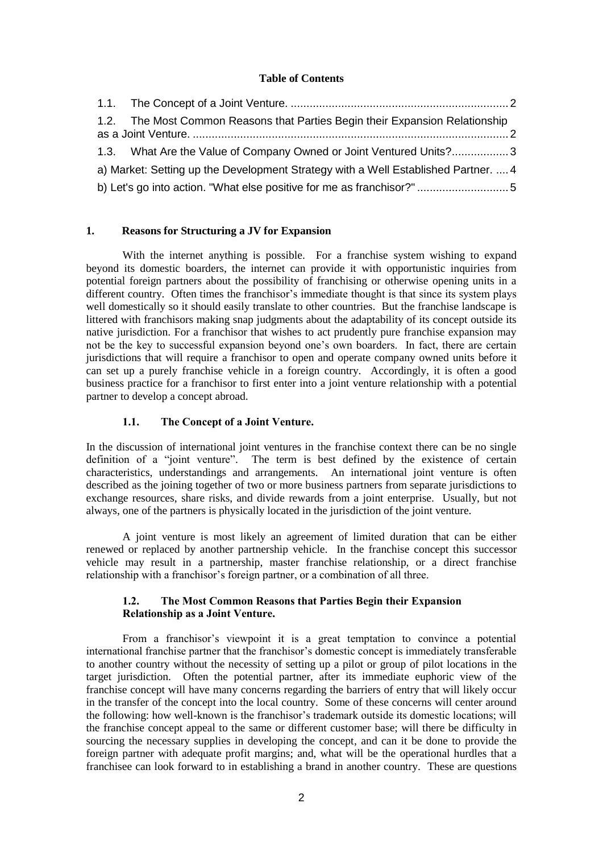### **Table of Contents**

|                                                                                    | 1.2. The Most Common Reasons that Parties Begin their Expansion Relationship |  |  |  |
|------------------------------------------------------------------------------------|------------------------------------------------------------------------------|--|--|--|
|                                                                                    | 1.3. What Are the Value of Company Owned or Joint Ventured Units?3           |  |  |  |
| a) Market: Setting up the Development Strategy with a Well Established Partner.  4 |                                                                              |  |  |  |
| b) Let's go into action. "What else positive for me as franchisor?" 5              |                                                                              |  |  |  |

#### **1. Reasons for Structuring a JV for Expansion**

With the internet anything is possible. For a franchise system wishing to expand beyond its domestic boarders, the internet can provide it with opportunistic inquiries from potential foreign partners about the possibility of franchising or otherwise opening units in a different country. Often times the franchisor's immediate thought is that since its system plays well domestically so it should easily translate to other countries. But the franchise landscape is littered with franchisors making snap judgments about the adaptability of its concept outside its native jurisdiction. For a franchisor that wishes to act prudently pure franchise expansion may not be the key to successful expansion beyond one's own boarders. In fact, there are certain jurisdictions that will require a franchisor to open and operate company owned units before it can set up a purely franchise vehicle in a foreign country. Accordingly, it is often a good business practice for a franchisor to first enter into a joint venture relationship with a potential partner to develop a concept abroad.

#### **1.1. The Concept of a Joint Venture.**

In the discussion of international joint ventures in the franchise context there can be no single definition of a "joint venture". The term is best defined by the existence of certain characteristics, understandings and arrangements. An international joint venture is often described as the joining together of two or more business partners from separate jurisdictions to exchange resources, share risks, and divide rewards from a joint enterprise. Usually, but not always, one of the partners is physically located in the jurisdiction of the joint venture.

A joint venture is most likely an agreement of limited duration that can be either renewed or replaced by another partnership vehicle. In the franchise concept this successor vehicle may result in a partnership, master franchise relationship, or a direct franchise relationship with a franchisor's foreign partner, or a combination of all three.

### **1.2. The Most Common Reasons that Parties Begin their Expansion Relationship as a Joint Venture.**

From a franchisor's viewpoint it is a great temptation to convince a potential international franchise partner that the franchisor's domestic concept is immediately transferable to another country without the necessity of setting up a pilot or group of pilot locations in the target jurisdiction. Often the potential partner, after its immediate euphoric view of the franchise concept will have many concerns regarding the barriers of entry that will likely occur in the transfer of the concept into the local country. Some of these concerns will center around the following: how well-known is the franchisor's trademark outside its domestic locations; will the franchise concept appeal to the same or different customer base; will there be difficulty in sourcing the necessary supplies in developing the concept, and can it be done to provide the foreign partner with adequate profit margins; and, what will be the operational hurdles that a franchisee can look forward to in establishing a brand in another country. These are questions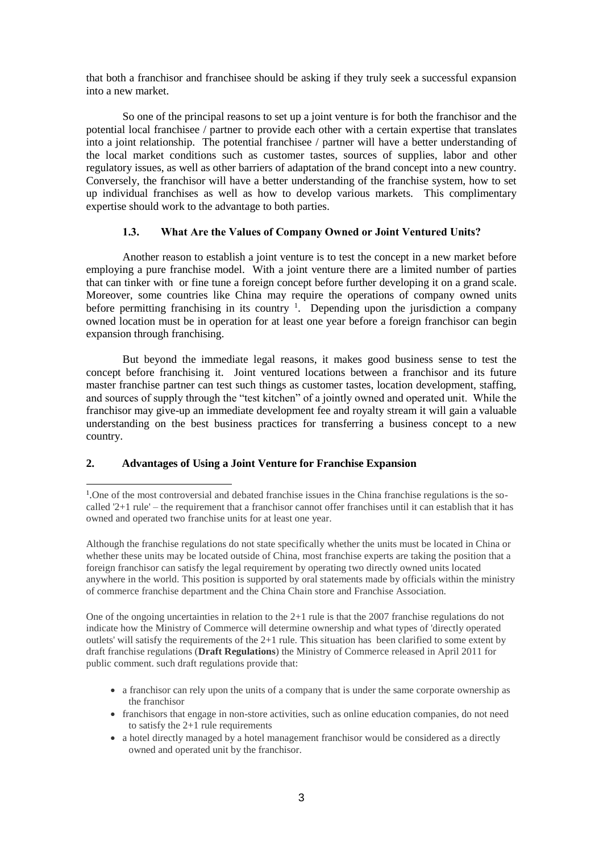that both a franchisor and franchisee should be asking if they truly seek a successful expansion into a new market.

So one of the principal reasons to set up a joint venture is for both the franchisor and the potential local franchisee / partner to provide each other with a certain expertise that translates into a joint relationship. The potential franchisee / partner will have a better understanding of the local market conditions such as customer tastes, sources of supplies, labor and other regulatory issues, as well as other barriers of adaptation of the brand concept into a new country. Conversely, the franchisor will have a better understanding of the franchise system, how to set up individual franchises as well as how to develop various markets. This complimentary expertise should work to the advantage to both parties.

### **1.3. What Are the Values of Company Owned or Joint Ventured Units?**

Another reason to establish a joint venture is to test the concept in a new market before employing a pure franchise model. With a joint venture there are a limited number of parties that can tinker with or fine tune a foreign concept before further developing it on a grand scale. Moreover, some countries like China may require the operations of company owned units before permitting franchising in its country  $\frac{1}{1}$ . Depending upon the jurisdiction a company owned location must be in operation for at least one year before a foreign franchisor can begin expansion through franchising.

But beyond the immediate legal reasons, it makes good business sense to test the concept before franchising it. Joint ventured locations between a franchisor and its future master franchise partner can test such things as customer tastes, location development, staffing, and sources of supply through the "test kitchen" of a jointly owned and operated unit. While the franchisor may give-up an immediate development fee and royalty stream it will gain a valuable understanding on the best business practices for transferring a business concept to a new country.

## **2. Advantages of Using a Joint Venture for Franchise Expansion**

Although the franchise regulations do not state specifically whether the units must be located in China or whether these units may be located outside of China, most franchise experts are taking the position that a foreign franchisor can satisfy the legal requirement by operating two directly owned units located anywhere in the world. This position is supported by oral statements made by officials within the ministry of commerce franchise department and the China Chain store and Franchise Association.

One of the ongoing uncertainties in relation to the  $2+1$  rule is that the 2007 franchise regulations do not indicate how the Ministry of Commerce will determine ownership and what types of 'directly operated outlets' will satisfy the requirements of the  $2+1$  rule. This situation has been clarified to some extent by draft franchise regulations (**Draft Regulations**) the Ministry of Commerce released in April 2011 for public comment. such draft regulations provide that:

- a franchisor can rely upon the units of a company that is under the same corporate ownership as the franchisor
- franchisors that engage in non-store activities, such as online education companies, do not need to satisfy the 2+1 rule requirements
- a hotel directly managed by a hotel management franchisor would be considered as a directly owned and operated unit by the franchisor.

<sup>&</sup>lt;u>.</u> <sup>1</sup>. One of the most controversial and debated franchise issues in the China franchise regulations is the socalled '2+1 rule' – the requirement that a franchisor cannot offer franchises until it can establish that it has owned and operated two franchise units for at least one year.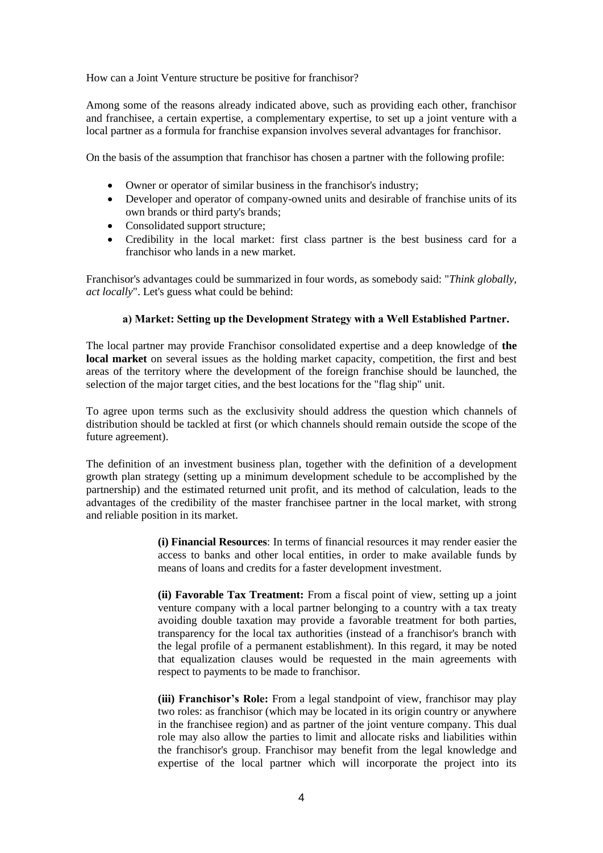How can a Joint Venture structure be positive for franchisor?

Among some of the reasons already indicated above, such as providing each other, franchisor and franchisee, a certain expertise, a complementary expertise, to set up a joint venture with a local partner as a formula for franchise expansion involves several advantages for franchisor.

On the basis of the assumption that franchisor has chosen a partner with the following profile:

- Owner or operator of similar business in the franchisor's industry;
- Developer and operator of company-owned units and desirable of franchise units of its own brands or third party's brands;
- Consolidated support structure;
- Credibility in the local market: first class partner is the best business card for a franchisor who lands in a new market.

Franchisor's advantages could be summarized in four words, as somebody said: "*Think globally, act locally*". Let's guess what could be behind:

### **a) Market: Setting up the Development Strategy with a Well Established Partner.**

The local partner may provide Franchisor consolidated expertise and a deep knowledge of **the local market** on several issues as the holding market capacity, competition, the first and best areas of the territory where the development of the foreign franchise should be launched, the selection of the major target cities, and the best locations for the "flag ship" unit.

To agree upon terms such as the exclusivity should address the question which channels of distribution should be tackled at first (or which channels should remain outside the scope of the future agreement).

The definition of an investment business plan, together with the definition of a development growth plan strategy (setting up a minimum development schedule to be accomplished by the partnership) and the estimated returned unit profit, and its method of calculation, leads to the advantages of the credibility of the master franchisee partner in the local market, with strong and reliable position in its market.

> **(i) Financial Resources**: In terms of financial resources it may render easier the access to banks and other local entities, in order to make available funds by means of loans and credits for a faster development investment.

> **(ii) Favorable Tax Treatment:** From a fiscal point of view, setting up a joint venture company with a local partner belonging to a country with a tax treaty avoiding double taxation may provide a favorable treatment for both parties, transparency for the local tax authorities (instead of a franchisor's branch with the legal profile of a permanent establishment). In this regard, it may be noted that equalization clauses would be requested in the main agreements with respect to payments to be made to franchisor.

> **(iii) Franchisor's Role:** From a legal standpoint of view, franchisor may play two roles: as franchisor (which may be located in its origin country or anywhere in the franchisee region) and as partner of the joint venture company. This dual role may also allow the parties to limit and allocate risks and liabilities within the franchisor's group. Franchisor may benefit from the legal knowledge and expertise of the local partner which will incorporate the project into its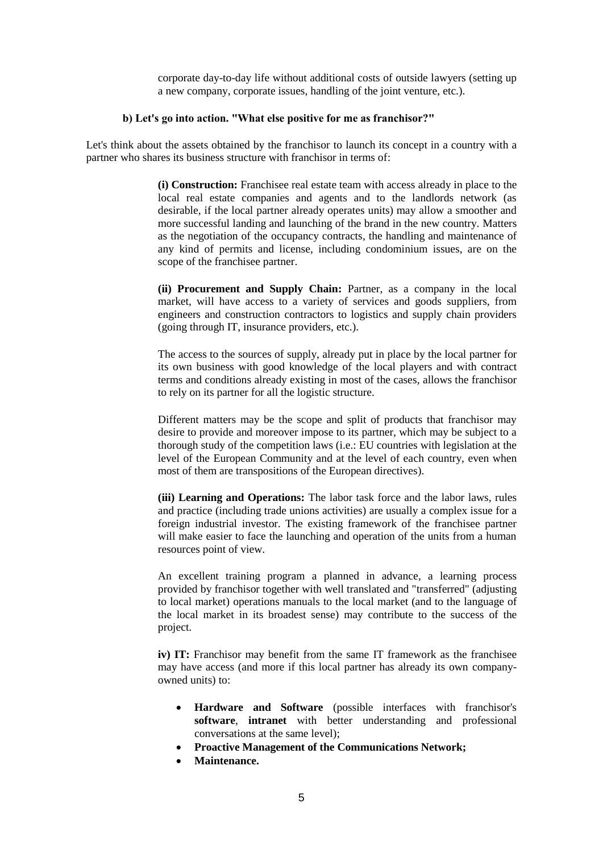corporate day-to-day life without additional costs of outside lawyers (setting up a new company, corporate issues, handling of the joint venture, etc.).

## **b) Let's go into action. "What else positive for me as franchisor?"**

Let's think about the assets obtained by the franchisor to launch its concept in a country with a partner who shares its business structure with franchisor in terms of:

> **(i) Construction:** Franchisee real estate team with access already in place to the local real estate companies and agents and to the landlords network (as desirable, if the local partner already operates units) may allow a smoother and more successful landing and launching of the brand in the new country. Matters as the negotiation of the occupancy contracts, the handling and maintenance of any kind of permits and license, including condominium issues, are on the scope of the franchisee partner.

> **(ii) Procurement and Supply Chain:** Partner, as a company in the local market, will have access to a variety of services and goods suppliers, from engineers and construction contractors to logistics and supply chain providers (going through IT, insurance providers, etc.).

> The access to the sources of supply, already put in place by the local partner for its own business with good knowledge of the local players and with contract terms and conditions already existing in most of the cases, allows the franchisor to rely on its partner for all the logistic structure.

> Different matters may be the scope and split of products that franchisor may desire to provide and moreover impose to its partner, which may be subject to a thorough study of the competition laws (i.e.: EU countries with legislation at the level of the European Community and at the level of each country, even when most of them are transpositions of the European directives).

> **(iii) Learning and Operations:** The labor task force and the labor laws, rules and practice (including trade unions activities) are usually a complex issue for a foreign industrial investor. The existing framework of the franchisee partner will make easier to face the launching and operation of the units from a human resources point of view.

> An excellent training program a planned in advance, a learning process provided by franchisor together with well translated and "transferred" (adjusting to local market) operations manuals to the local market (and to the language of the local market in its broadest sense) may contribute to the success of the project.

> **iv) IT:** Franchisor may benefit from the same IT framework as the franchisee may have access (and more if this local partner has already its own companyowned units) to:

- **Hardware and Software** (possible interfaces with franchisor's **software**, **intranet** with better understanding and professional conversations at the same level);
- **Proactive Management of the Communications Network;**
- **Maintenance.**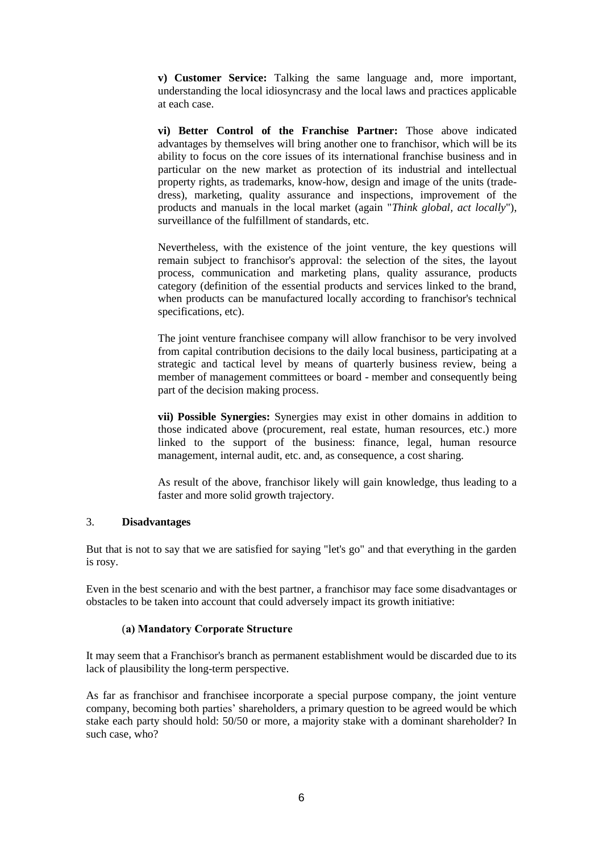**v) Customer Service:** Talking the same language and, more important, understanding the local idiosyncrasy and the local laws and practices applicable at each case.

**vi) Better Control of the Franchise Partner:** Those above indicated advantages by themselves will bring another one to franchisor, which will be its ability to focus on the core issues of its international franchise business and in particular on the new market as protection of its industrial and intellectual property rights, as trademarks, know-how, design and image of the units (tradedress), marketing, quality assurance and inspections, improvement of the products and manuals in the local market (again "*Think global, act locally*"), surveillance of the fulfillment of standards, etc.

Nevertheless, with the existence of the joint venture, the key questions will remain subject to franchisor's approval: the selection of the sites, the layout process, communication and marketing plans, quality assurance, products category (definition of the essential products and services linked to the brand, when products can be manufactured locally according to franchisor's technical specifications, etc).

The joint venture franchisee company will allow franchisor to be very involved from capital contribution decisions to the daily local business, participating at a strategic and tactical level by means of quarterly business review, being a member of management committees or board - member and consequently being part of the decision making process.

**vii) Possible Synergies:** Synergies may exist in other domains in addition to those indicated above (procurement, real estate, human resources, etc.) more linked to the support of the business: finance, legal, human resource management, internal audit, etc. and, as consequence, a cost sharing.

As result of the above, franchisor likely will gain knowledge, thus leading to a faster and more solid growth trajectory.

#### 3. **Disadvantages**

But that is not to say that we are satisfied for saying "let's go" and that everything in the garden is rosy.

Even in the best scenario and with the best partner, a franchisor may face some disadvantages or obstacles to be taken into account that could adversely impact its growth initiative:

## (**a) Mandatory Corporate Structure**

It may seem that a Franchisor's branch as permanent establishment would be discarded due to its lack of plausibility the long-term perspective.

As far as franchisor and franchisee incorporate a special purpose company, the joint venture company, becoming both parties' shareholders, a primary question to be agreed would be which stake each party should hold: 50/50 or more, a majority stake with a dominant shareholder? In such case, who?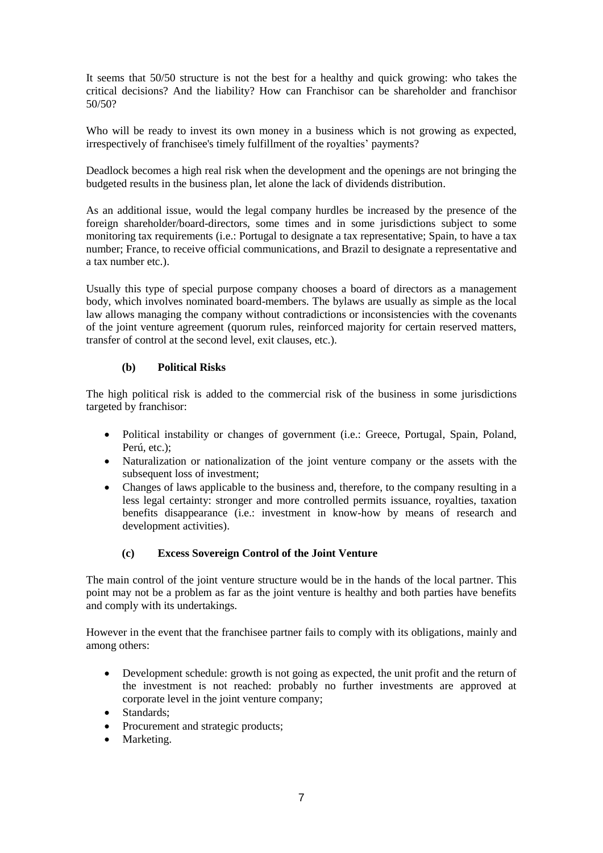It seems that 50/50 structure is not the best for a healthy and quick growing: who takes the critical decisions? And the liability? How can Franchisor can be shareholder and franchisor 50/50?

Who will be ready to invest its own money in a business which is not growing as expected, irrespectively of franchisee's timely fulfillment of the royalties' payments?

Deadlock becomes a high real risk when the development and the openings are not bringing the budgeted results in the business plan, let alone the lack of dividends distribution.

As an additional issue, would the legal company hurdles be increased by the presence of the foreign shareholder/board-directors, some times and in some jurisdictions subject to some monitoring tax requirements (i.e.: Portugal to designate a tax representative; Spain, to have a tax number; France, to receive official communications, and Brazil to designate a representative and a tax number etc.).

Usually this type of special purpose company chooses a board of directors as a management body, which involves nominated board-members. The bylaws are usually as simple as the local law allows managing the company without contradictions or inconsistencies with the covenants of the joint venture agreement (quorum rules, reinforced majority for certain reserved matters, transfer of control at the second level, exit clauses, etc.).

## **(b) Political Risks**

The high political risk is added to the commercial risk of the business in some jurisdictions targeted by franchisor:

- Political instability or changes of government (i.e.: Greece, Portugal, Spain, Poland, Perú, etc.);
- Naturalization or nationalization of the joint venture company or the assets with the subsequent loss of investment;
- Changes of laws applicable to the business and, therefore, to the company resulting in a less legal certainty: stronger and more controlled permits issuance, royalties, taxation benefits disappearance (i.e.: investment in know-how by means of research and development activities).

## **(c) Excess Sovereign Control of the Joint Venture**

The main control of the joint venture structure would be in the hands of the local partner. This point may not be a problem as far as the joint venture is healthy and both parties have benefits and comply with its undertakings.

However in the event that the franchisee partner fails to comply with its obligations, mainly and among others:

- Development schedule: growth is not going as expected, the unit profit and the return of the investment is not reached: probably no further investments are approved at corporate level in the joint venture company;
- Standards;
- Procurement and strategic products;
- Marketing.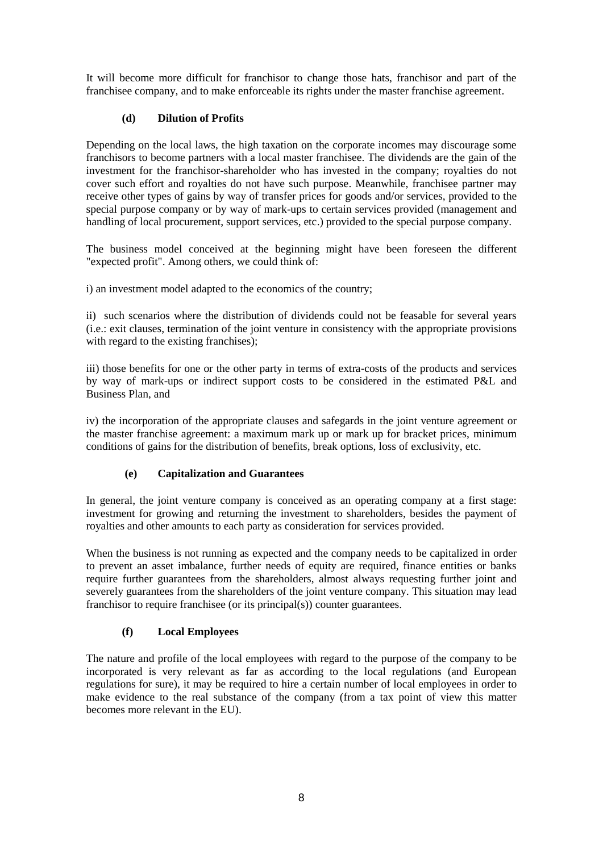It will become more difficult for franchisor to change those hats, franchisor and part of the franchisee company, and to make enforceable its rights under the master franchise agreement.

# **(d) Dilution of Profits**

Depending on the local laws, the high taxation on the corporate incomes may discourage some franchisors to become partners with a local master franchisee. The dividends are the gain of the investment for the franchisor-shareholder who has invested in the company; royalties do not cover such effort and royalties do not have such purpose. Meanwhile, franchisee partner may receive other types of gains by way of transfer prices for goods and/or services, provided to the special purpose company or by way of mark-ups to certain services provided (management and handling of local procurement, support services, etc.) provided to the special purpose company.

The business model conceived at the beginning might have been foreseen the different "expected profit". Among others, we could think of:

i) an investment model adapted to the economics of the country;

ii) such scenarios where the distribution of dividends could not be feasable for several years (i.e.: exit clauses, termination of the joint venture in consistency with the appropriate provisions with regard to the existing franchises);

iii) those benefits for one or the other party in terms of extra-costs of the products and services by way of mark-ups or indirect support costs to be considered in the estimated P&L and Business Plan, and

iv) the incorporation of the appropriate clauses and safegards in the joint venture agreement or the master franchise agreement: a maximum mark up or mark up for bracket prices, minimum conditions of gains for the distribution of benefits, break options, loss of exclusivity, etc.

## **(e) Capitalization and Guarantees**

In general, the joint venture company is conceived as an operating company at a first stage: investment for growing and returning the investment to shareholders, besides the payment of royalties and other amounts to each party as consideration for services provided.

When the business is not running as expected and the company needs to be capitalized in order to prevent an asset imbalance, further needs of equity are required, finance entities or banks require further guarantees from the shareholders, almost always requesting further joint and severely guarantees from the shareholders of the joint venture company. This situation may lead franchisor to require franchisee (or its principal(s)) counter guarantees.

# **(f) Local Employees**

The nature and profile of the local employees with regard to the purpose of the company to be incorporated is very relevant as far as according to the local regulations (and European regulations for sure), it may be required to hire a certain number of local employees in order to make evidence to the real substance of the company (from a tax point of view this matter becomes more relevant in the EU).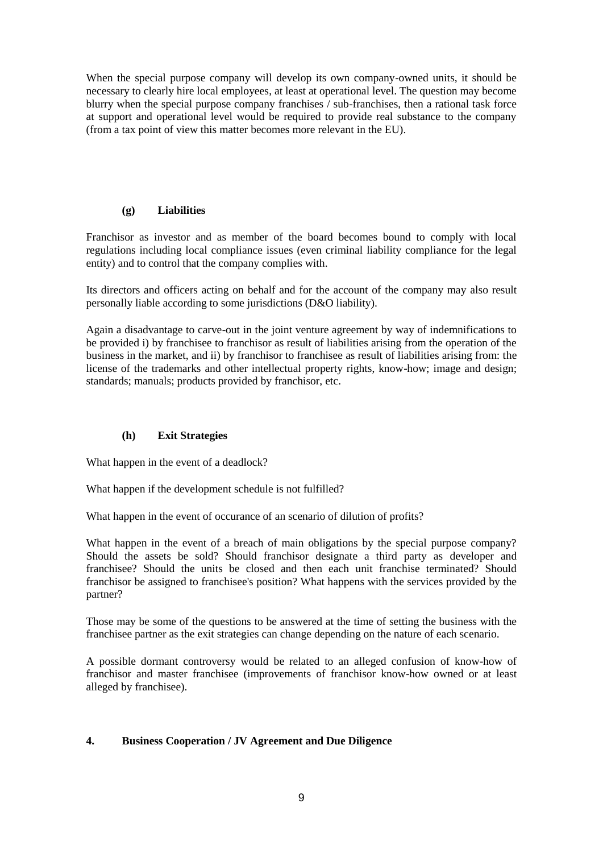When the special purpose company will develop its own company-owned units, it should be necessary to clearly hire local employees, at least at operational level. The question may become blurry when the special purpose company franchises / sub-franchises, then a rational task force at support and operational level would be required to provide real substance to the company (from a tax point of view this matter becomes more relevant in the EU).

## **(g) Liabilities**

Franchisor as investor and as member of the board becomes bound to comply with local regulations including local compliance issues (even criminal liability compliance for the legal entity) and to control that the company complies with.

Its directors and officers acting on behalf and for the account of the company may also result personally liable according to some jurisdictions (D&O liability).

Again a disadvantage to carve-out in the joint venture agreement by way of indemnifications to be provided i) by franchisee to franchisor as result of liabilities arising from the operation of the business in the market, and ii) by franchisor to franchisee as result of liabilities arising from: the license of the trademarks and other intellectual property rights, know-how; image and design; standards; manuals; products provided by franchisor, etc.

## **(h) Exit Strategies**

What happen in the event of a deadlock?

What happen if the development schedule is not fulfilled?

What happen in the event of occurance of an scenario of dilution of profits?

What happen in the event of a breach of main obligations by the special purpose company? Should the assets be sold? Should franchisor designate a third party as developer and franchisee? Should the units be closed and then each unit franchise terminated? Should franchisor be assigned to franchisee's position? What happens with the services provided by the partner?

Those may be some of the questions to be answered at the time of setting the business with the franchisee partner as the exit strategies can change depending on the nature of each scenario.

A possible dormant controversy would be related to an alleged confusion of know-how of franchisor and master franchisee (improvements of franchisor know-how owned or at least alleged by franchisee).

## **4. Business Cooperation / JV Agreement and Due Diligence**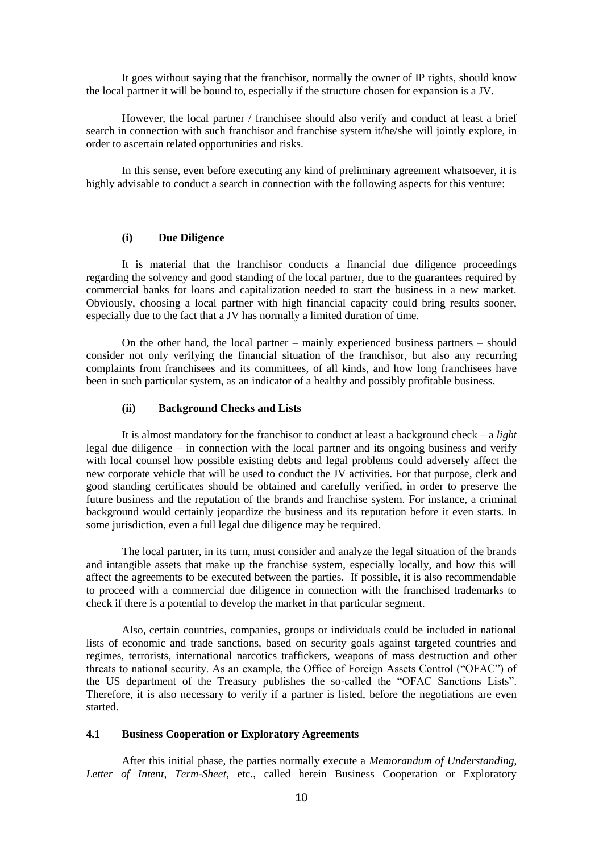It goes without saying that the franchisor, normally the owner of IP rights, should know the local partner it will be bound to, especially if the structure chosen for expansion is a JV.

However, the local partner / franchisee should also verify and conduct at least a brief search in connection with such franchisor and franchise system it/he/she will jointly explore, in order to ascertain related opportunities and risks.

In this sense, even before executing any kind of preliminary agreement whatsoever, it is highly advisable to conduct a search in connection with the following aspects for this venture:

#### **(i) Due Diligence**

It is material that the franchisor conducts a financial due diligence proceedings regarding the solvency and good standing of the local partner, due to the guarantees required by commercial banks for loans and capitalization needed to start the business in a new market. Obviously, choosing a local partner with high financial capacity could bring results sooner, especially due to the fact that a JV has normally a limited duration of time.

On the other hand, the local partner – mainly experienced business partners – should consider not only verifying the financial situation of the franchisor, but also any recurring complaints from franchisees and its committees, of all kinds, and how long franchisees have been in such particular system, as an indicator of a healthy and possibly profitable business.

### **(ii) Background Checks and Lists**

It is almost mandatory for the franchisor to conduct at least a background check – a *light* legal due diligence – in connection with the local partner and its ongoing business and verify with local counsel how possible existing debts and legal problems could adversely affect the new corporate vehicle that will be used to conduct the JV activities. For that purpose, clerk and good standing certificates should be obtained and carefully verified, in order to preserve the future business and the reputation of the brands and franchise system. For instance, a criminal background would certainly jeopardize the business and its reputation before it even starts. In some jurisdiction, even a full legal due diligence may be required.

The local partner, in its turn, must consider and analyze the legal situation of the brands and intangible assets that make up the franchise system, especially locally, and how this will affect the agreements to be executed between the parties. If possible, it is also recommendable to proceed with a commercial due diligence in connection with the franchised trademarks to check if there is a potential to develop the market in that particular segment.

Also, certain countries, companies, groups or individuals could be included in national lists of economic and trade sanctions, based on security goals against targeted countries and regimes, terrorists, international narcotics traffickers, weapons of mass destruction and other threats to national security. As an example, the Office of Foreign Assets Control ("OFAC") of the US department of the Treasury publishes the so-called the "OFAC Sanctions Lists". Therefore, it is also necessary to verify if a partner is listed, before the negotiations are even started.

#### **4.1 Business Cooperation or Exploratory Agreements**

After this initial phase, the parties normally execute a *Memorandum of Understanding*, *Letter of Intent*, *Term-Sheet*, etc., called herein Business Cooperation or Exploratory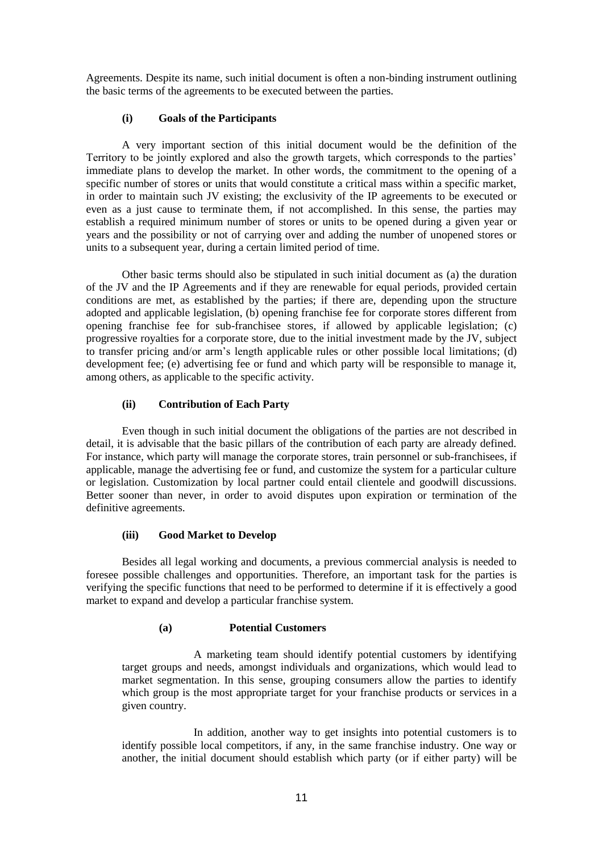Agreements. Despite its name, such initial document is often a non-binding instrument outlining the basic terms of the agreements to be executed between the parties.

## **(i) Goals of the Participants**

A very important section of this initial document would be the definition of the Territory to be jointly explored and also the growth targets, which corresponds to the parties' immediate plans to develop the market. In other words, the commitment to the opening of a specific number of stores or units that would constitute a critical mass within a specific market, in order to maintain such JV existing; the exclusivity of the IP agreements to be executed or even as a just cause to terminate them, if not accomplished. In this sense, the parties may establish a required minimum number of stores or units to be opened during a given year or years and the possibility or not of carrying over and adding the number of unopened stores or units to a subsequent year, during a certain limited period of time.

Other basic terms should also be stipulated in such initial document as (a) the duration of the JV and the IP Agreements and if they are renewable for equal periods, provided certain conditions are met, as established by the parties; if there are, depending upon the structure adopted and applicable legislation, (b) opening franchise fee for corporate stores different from opening franchise fee for sub-franchisee stores, if allowed by applicable legislation; (c) progressive royalties for a corporate store, due to the initial investment made by the JV, subject to transfer pricing and/or arm's length applicable rules or other possible local limitations; (d) development fee; (e) advertising fee or fund and which party will be responsible to manage it, among others, as applicable to the specific activity.

## **(ii) Contribution of Each Party**

Even though in such initial document the obligations of the parties are not described in detail, it is advisable that the basic pillars of the contribution of each party are already defined. For instance, which party will manage the corporate stores, train personnel or sub-franchisees, if applicable, manage the advertising fee or fund, and customize the system for a particular culture or legislation. Customization by local partner could entail clientele and goodwill discussions. Better sooner than never, in order to avoid disputes upon expiration or termination of the definitive agreements.

### **(iii) Good Market to Develop**

Besides all legal working and documents, a previous commercial analysis is needed to foresee possible challenges and opportunities. Therefore, an important task for the parties is verifying the specific functions that need to be performed to determine if it is effectively a good market to expand and develop a particular franchise system.

### **(a) Potential Customers**

A marketing team should identify potential customers by identifying target groups and needs, amongst individuals and organizations, which would lead to market segmentation. In this sense, grouping consumers allow the parties to identify which group is the most appropriate target for your franchise products or services in a given country.

In addition, another way to get insights into potential customers is to identify possible local competitors, if any, in the same franchise industry. One way or another, the initial document should establish which party (or if either party) will be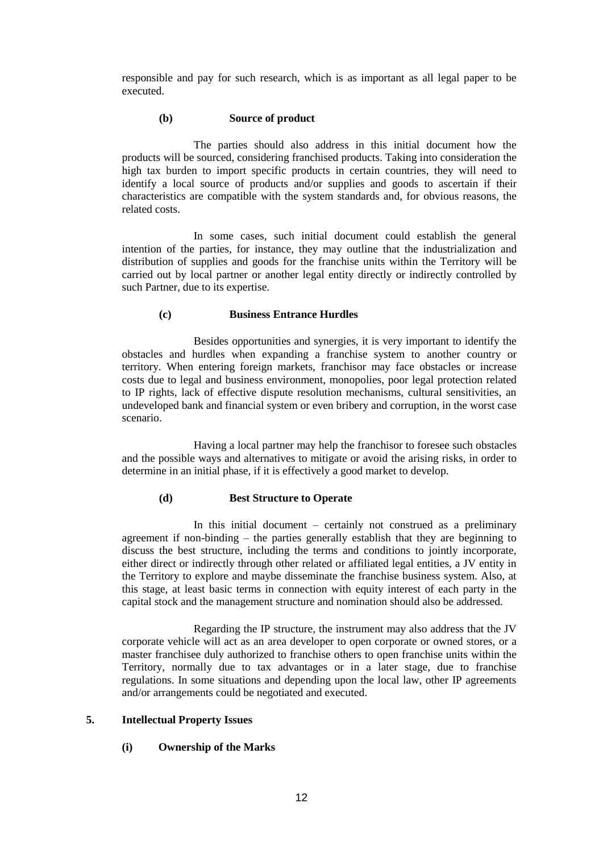responsible and pay for such research, which is as important as all legal paper to be executed.

#### **(b) Source of product**

The parties should also address in this initial document how the products will be sourced, considering franchised products. Taking into consideration the high tax burden to import specific products in certain countries, they will need to identify a local source of products and/or supplies and goods to ascertain if their characteristics are compatible with the system standards and, for obvious reasons, the related costs.

In some cases, such initial document could establish the general intention of the parties, for instance, they may outline that the industrialization and distribution of supplies and goods for the franchise units within the Territory will be carried out by local partner or another legal entity directly or indirectly controlled by such Partner, due to its expertise.

#### **(c) Business Entrance Hurdles**

Besides opportunities and synergies, it is very important to identify the obstacles and hurdles when expanding a franchise system to another country or territory. When entering foreign markets, franchisor may face obstacles or increase costs due to legal and business environment, monopolies, poor legal protection related to IP rights, lack of effective dispute resolution mechanisms, cultural sensitivities, an undeveloped bank and financial system or even bribery and corruption, in the worst case scenario.

Having a local partner may help the franchisor to foresee such obstacles and the possible ways and alternatives to mitigate or avoid the arising risks, in order to determine in an initial phase, if it is effectively a good market to develop.

### **(d) Best Structure to Operate**

In this initial document – certainly not construed as a preliminary agreement if non-binding – the parties generally establish that they are beginning to discuss the best structure, including the terms and conditions to jointly incorporate, either direct or indirectly through other related or affiliated legal entities, a JV entity in the Territory to explore and maybe disseminate the franchise business system. Also, at this stage, at least basic terms in connection with equity interest of each party in the capital stock and the management structure and nomination should also be addressed.

Regarding the IP structure, the instrument may also address that the JV corporate vehicle will act as an area developer to open corporate or owned stores, or a master franchisee duly authorized to franchise others to open franchise units within the Territory, normally due to tax advantages or in a later stage, due to franchise regulations. In some situations and depending upon the local law, other IP agreements and/or arrangements could be negotiated and executed.

## **5. Intellectual Property Issues**

### **(i) Ownership of the Marks**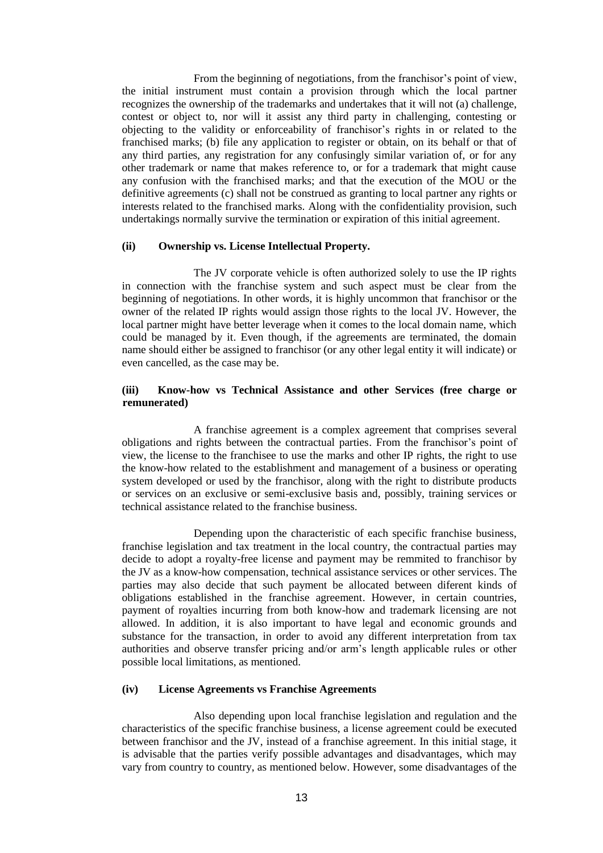From the beginning of negotiations, from the franchisor's point of view, the initial instrument must contain a provision through which the local partner recognizes the ownership of the trademarks and undertakes that it will not (a) challenge, contest or object to, nor will it assist any third party in challenging, contesting or objecting to the validity or enforceability of franchisor's rights in or related to the franchised marks; (b) file any application to register or obtain, on its behalf or that of any third parties, any registration for any confusingly similar variation of, or for any other trademark or name that makes reference to, or for a trademark that might cause any confusion with the franchised marks; and that the execution of the MOU or the definitive agreements (c) shall not be construed as granting to local partner any rights or interests related to the franchised marks. Along with the confidentiality provision, such undertakings normally survive the termination or expiration of this initial agreement.

#### **(ii) Ownership vs. License Intellectual Property.**

The JV corporate vehicle is often authorized solely to use the IP rights in connection with the franchise system and such aspect must be clear from the beginning of negotiations. In other words, it is highly uncommon that franchisor or the owner of the related IP rights would assign those rights to the local JV. However, the local partner might have better leverage when it comes to the local domain name, which could be managed by it. Even though, if the agreements are terminated, the domain name should either be assigned to franchisor (or any other legal entity it will indicate) or even cancelled, as the case may be.

### **(iii) Know-how vs Technical Assistance and other Services (free charge or remunerated)**

A franchise agreement is a complex agreement that comprises several obligations and rights between the contractual parties. From the franchisor's point of view, the license to the franchisee to use the marks and other IP rights, the right to use the know-how related to the establishment and management of a business or operating system developed or used by the franchisor, along with the right to distribute products or services on an exclusive or semi-exclusive basis and, possibly, training services or technical assistance related to the franchise business.

Depending upon the characteristic of each specific franchise business, franchise legislation and tax treatment in the local country, the contractual parties may decide to adopt a royalty-free license and payment may be remmited to franchisor by the JV as a know-how compensation, technical assistance services or other services. The parties may also decide that such payment be allocated between diferent kinds of obligations established in the franchise agreement. However, in certain countries, payment of royalties incurring from both know-how and trademark licensing are not allowed. In addition, it is also important to have legal and economic grounds and substance for the transaction, in order to avoid any different interpretation from tax authorities and observe transfer pricing and/or arm's length applicable rules or other possible local limitations, as mentioned.

#### **(iv) License Agreements vs Franchise Agreements**

Also depending upon local franchise legislation and regulation and the characteristics of the specific franchise business, a license agreement could be executed between franchisor and the JV, instead of a franchise agreement. In this initial stage, it is advisable that the parties verify possible advantages and disadvantages, which may vary from country to country, as mentioned below. However, some disadvantages of the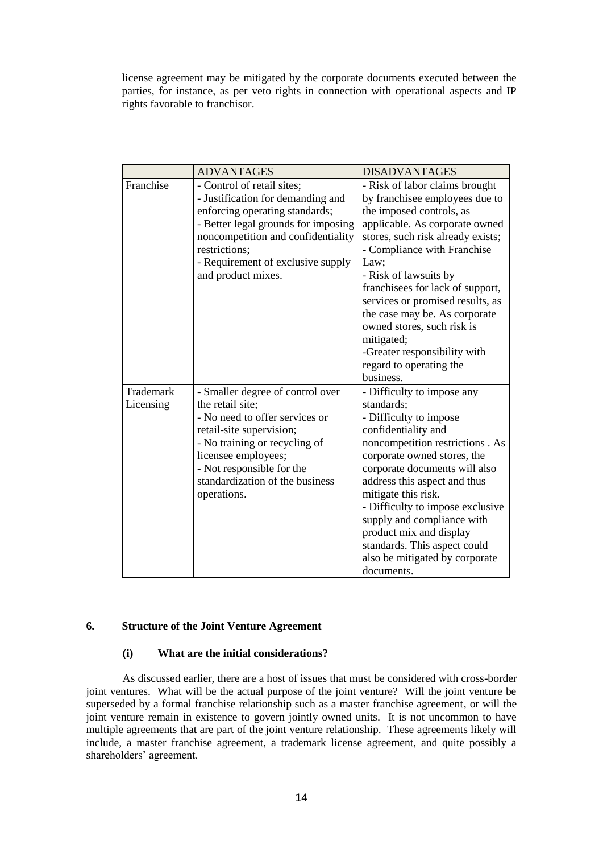license agreement may be mitigated by the corporate documents executed between the parties, for instance, as per veto rights in connection with operational aspects and IP rights favorable to franchisor.

|           | <b>ADVANTAGES</b>                   | <b>DISADVANTAGES</b>              |
|-----------|-------------------------------------|-----------------------------------|
| Franchise | - Control of retail sites;          | - Risk of labor claims brought    |
|           | - Justification for demanding and   | by franchisee employees due to    |
|           | enforcing operating standards;      | the imposed controls, as          |
|           | - Better legal grounds for imposing | applicable. As corporate owned    |
|           | noncompetition and confidentiality  | stores, such risk already exists; |
|           | restrictions;                       | - Compliance with Franchise       |
|           | - Requirement of exclusive supply   | Law;                              |
|           | and product mixes.                  | - Risk of lawsuits by             |
|           |                                     | franchisees for lack of support,  |
|           |                                     | services or promised results, as  |
|           |                                     | the case may be. As corporate     |
|           |                                     | owned stores, such risk is        |
|           |                                     | mitigated;                        |
|           |                                     | -Greater responsibility with      |
|           |                                     | regard to operating the           |
|           |                                     | business.                         |
| Trademark | - Smaller degree of control over    | - Difficulty to impose any        |
| Licensing | the retail site:                    | standards:                        |
|           | - No need to offer services or      | - Difficulty to impose            |
|           | retail-site supervision;            | confidentiality and               |
|           | - No training or recycling of       | noncompetition restrictions. As   |
|           | licensee employees;                 | corporate owned stores, the       |
|           | - Not responsible for the           | corporate documents will also     |
|           | standardization of the business     | address this aspect and thus      |
|           | operations.                         | mitigate this risk.               |
|           |                                     | - Difficulty to impose exclusive  |
|           |                                     | supply and compliance with        |
|           |                                     | product mix and display           |
|           |                                     | standards. This aspect could      |
|           |                                     | also be mitigated by corporate    |
|           |                                     | documents.                        |

#### **6. Structure of the Joint Venture Agreement**

#### **(i) What are the initial considerations?**

As discussed earlier, there are a host of issues that must be considered with cross-border joint ventures. What will be the actual purpose of the joint venture? Will the joint venture be superseded by a formal franchise relationship such as a master franchise agreement, or will the joint venture remain in existence to govern jointly owned units. It is not uncommon to have multiple agreements that are part of the joint venture relationship. These agreements likely will include, a master franchise agreement, a trademark license agreement, and quite possibly a shareholders' agreement.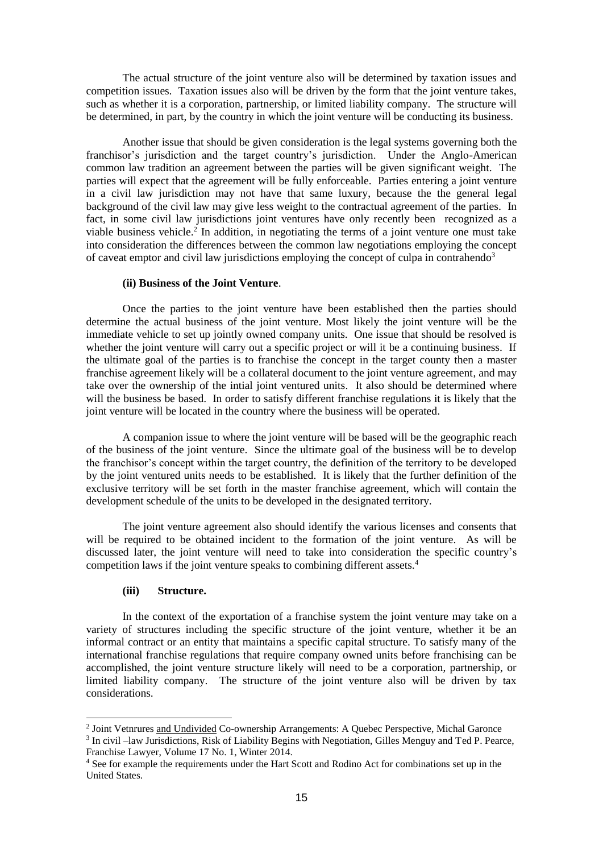The actual structure of the joint venture also will be determined by taxation issues and competition issues. Taxation issues also will be driven by the form that the joint venture takes, such as whether it is a corporation, partnership, or limited liability company. The structure will be determined, in part, by the country in which the joint venture will be conducting its business.

Another issue that should be given consideration is the legal systems governing both the franchisor's jurisdiction and the target country's jurisdiction. Under the Anglo-American common law tradition an agreement between the parties will be given significant weight. The parties will expect that the agreement will be fully enforceable. Parties entering a joint venture in a civil law jurisdiction may not have that same luxury, because the the general legal background of the civil law may give less weight to the contractual agreement of the parties. In fact, in some civil law jurisdictions joint ventures have only recently been recognized as a viable business vehicle.<sup>2</sup> In addition, in negotiating the terms of a joint venture one must take into consideration the differences between the common law negotiations employing the concept of caveat emptor and civil law jurisdictions employing the concept of culpa in contrahendo<sup>3</sup>

### **(ii) Business of the Joint Venture**.

Once the parties to the joint venture have been established then the parties should determine the actual business of the joint venture. Most likely the joint venture will be the immediate vehicle to set up jointly owned company units. One issue that should be resolved is whether the joint venture will carry out a specific project or will it be a continuing business. If the ultimate goal of the parties is to franchise the concept in the target county then a master franchise agreement likely will be a collateral document to the joint venture agreement, and may take over the ownership of the intial joint ventured units. It also should be determined where will the business be based. In order to satisfy different franchise regulations it is likely that the joint venture will be located in the country where the business will be operated.

A companion issue to where the joint venture will be based will be the geographic reach of the business of the joint venture. Since the ultimate goal of the business will be to develop the franchisor's concept within the target country, the definition of the territory to be developed by the joint ventured units needs to be established. It is likely that the further definition of the exclusive territory will be set forth in the master franchise agreement, which will contain the development schedule of the units to be developed in the designated territory.

The joint venture agreement also should identify the various licenses and consents that will be required to be obtained incident to the formation of the joint venture. As will be discussed later, the joint venture will need to take into consideration the specific country's competition laws if the joint venture speaks to combining different assets.<sup>4</sup>

#### **(iii) Structure.**

-

In the context of the exportation of a franchise system the joint venture may take on a variety of structures including the specific structure of the joint venture, whether it be an informal contract or an entity that maintains a specific capital structure. To satisfy many of the international franchise regulations that require company owned units before franchising can be accomplished, the joint venture structure likely will need to be a corporation, partnership, or limited liability company. The structure of the joint venture also will be driven by tax considerations.

<sup>&</sup>lt;sup>2</sup> Joint Vetnrures and Undivided Co-ownership Arrangements: A Quebec Perspective, Michal Garonce

<sup>&</sup>lt;sup>3</sup> In civil –law Jurisdictions, Risk of Liability Begins with Negotiation, Gilles Menguy and Ted P. Pearce, Franchise Lawyer, Volume 17 No. 1, Winter 2014.

<sup>4</sup> See for example the requirements under the Hart Scott and Rodino Act for combinations set up in the United States.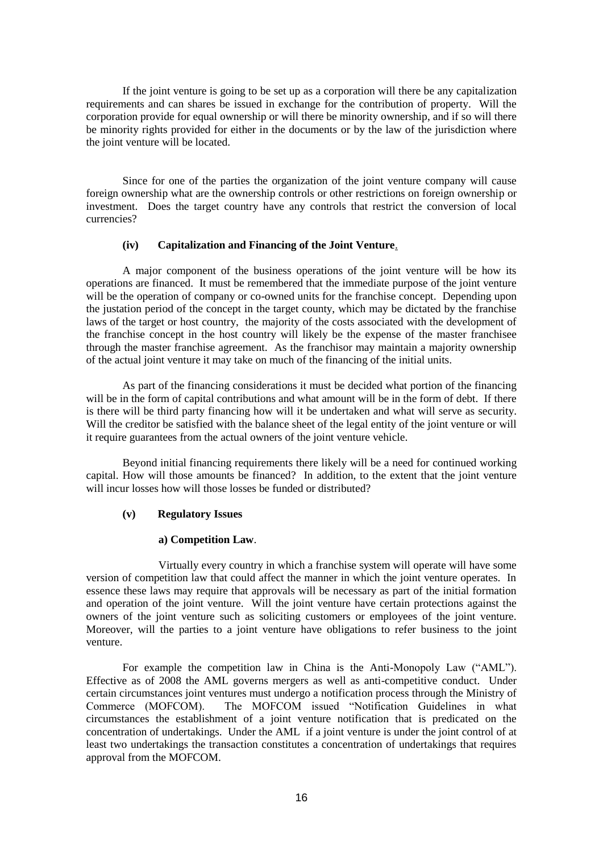If the joint venture is going to be set up as a corporation will there be any capitalization requirements and can shares be issued in exchange for the contribution of property. Will the corporation provide for equal ownership or will there be minority ownership, and if so will there be minority rights provided for either in the documents or by the law of the jurisdiction where the joint venture will be located.

Since for one of the parties the organization of the joint venture company will cause foreign ownership what are the ownership controls or other restrictions on foreign ownership or investment. Does the target country have any controls that restrict the conversion of local currencies?

### **(iv) Capitalization and Financing of the Joint Venture**.

A major component of the business operations of the joint venture will be how its operations are financed. It must be remembered that the immediate purpose of the joint venture will be the operation of company or co-owned units for the franchise concept. Depending upon the justation period of the concept in the target county, which may be dictated by the franchise laws of the target or host country, the majority of the costs associated with the development of the franchise concept in the host country will likely be the expense of the master franchisee through the master franchise agreement. As the franchisor may maintain a majority ownership of the actual joint venture it may take on much of the financing of the initial units.

As part of the financing considerations it must be decided what portion of the financing will be in the form of capital contributions and what amount will be in the form of debt. If there is there will be third party financing how will it be undertaken and what will serve as security. Will the creditor be satisfied with the balance sheet of the legal entity of the joint venture or will it require guarantees from the actual owners of the joint venture vehicle.

Beyond initial financing requirements there likely will be a need for continued working capital. How will those amounts be financed? In addition, to the extent that the joint venture will incur losses how will those losses be funded or distributed?

### **(v) Regulatory Issues**

#### **a) Competition Law**.

Virtually every country in which a franchise system will operate will have some version of competition law that could affect the manner in which the joint venture operates. In essence these laws may require that approvals will be necessary as part of the initial formation and operation of the joint venture. Will the joint venture have certain protections against the owners of the joint venture such as soliciting customers or employees of the joint venture. Moreover, will the parties to a joint venture have obligations to refer business to the joint venture.

For example the competition law in China is the Anti-Monopoly Law ("AML"). Effective as of 2008 the AML governs mergers as well as anti-competitive conduct. Under certain circumstances joint ventures must undergo a notification process through the Ministry of Commerce (MOFCOM). The MOFCOM issued "Notification Guidelines in what circumstances the establishment of a joint venture notification that is predicated on the concentration of undertakings. Under the AML if a joint venture is under the joint control of at least two undertakings the transaction constitutes a concentration of undertakings that requires approval from the MOFCOM.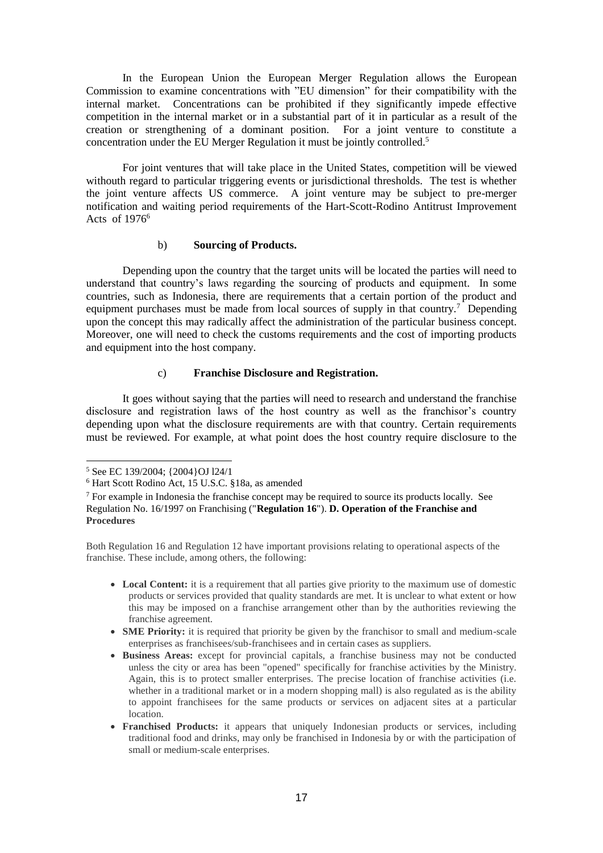In the European Union the European Merger Regulation allows the European Commission to examine concentrations with "EU dimension" for their compatibility with the internal market. Concentrations can be prohibited if they significantly impede effective competition in the internal market or in a substantial part of it in particular as a result of the creation or strengthening of a dominant position. For a joint venture to constitute a concentration under the EU Merger Regulation it must be jointly controlled.<sup>5</sup>

For joint ventures that will take place in the United States, competition will be viewed withouth regard to particular triggering events or jurisdictional thresholds. The test is whether the joint venture affects US commerce. A joint venture may be subject to pre-merger notification and waiting period requirements of the Hart-Scott-Rodino Antitrust Improvement Acts of  $1976<sup>6</sup>$ 

#### b) **Sourcing of Products.**

Depending upon the country that the target units will be located the parties will need to understand that country's laws regarding the sourcing of products and equipment. In some countries, such as Indonesia, there are requirements that a certain portion of the product and equipment purchases must be made from local sources of supply in that country.<sup>7</sup> Depending upon the concept this may radically affect the administration of the particular business concept. Moreover, one will need to check the customs requirements and the cost of importing products and equipment into the host company.

### c) **Franchise Disclosure and Registration.**

It goes without saying that the parties will need to research and understand the franchise disclosure and registration laws of the host country as well as the franchisor's country depending upon what the disclosure requirements are with that country. Certain requirements must be reviewed. For example, at what point does the host country require disclosure to the

Both Regulation 16 and Regulation 12 have important provisions relating to operational aspects of the franchise. These include, among others, the following:

- Local Content: it is a requirement that all parties give priority to the maximum use of domestic products or services provided that quality standards are met. It is unclear to what extent or how this may be imposed on a franchise arrangement other than by the authorities reviewing the franchise agreement.
- **SME Priority:** it is required that priority be given by the franchisor to small and medium-scale enterprises as franchisees/sub-franchisees and in certain cases as suppliers.
- **Business Areas:** except for provincial capitals, a franchise business may not be conducted unless the city or area has been "opened" specifically for franchise activities by the Ministry. Again, this is to protect smaller enterprises. The precise location of franchise activities (i.e. whether in a traditional market or in a modern shopping mall) is also regulated as is the ability to appoint franchisees for the same products or services on adjacent sites at a particular location.
- **Franchised Products:** it appears that uniquely Indonesian products or services, including traditional food and drinks, may only be franchised in Indonesia by or with the participation of small or medium-scale enterprises.

<sup>&</sup>lt;u>.</u> <sup>5</sup> See EC 139/2004; {2004}OJ 124/1

<sup>6</sup> Hart Scott Rodino Act, 15 U.S.C. §18a, as amended

<sup>7</sup> For example in Indonesia the franchise concept may be required to source its products locally. See Regulation No. 16/1997 on Franchising ("**Regulation 16**"). **D. Operation of the Franchise and Procedures**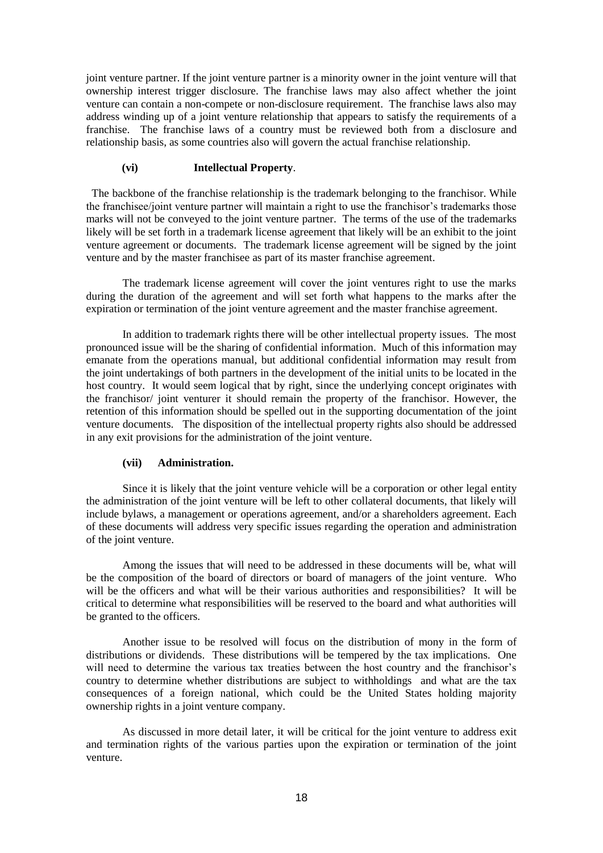joint venture partner. If the joint venture partner is a minority owner in the joint venture will that ownership interest trigger disclosure. The franchise laws may also affect whether the joint venture can contain a non-compete or non-disclosure requirement. The franchise laws also may address winding up of a joint venture relationship that appears to satisfy the requirements of a franchise. The franchise laws of a country must be reviewed both from a disclosure and relationship basis, as some countries also will govern the actual franchise relationship.

### **(vi) Intellectual Property**.

 The backbone of the franchise relationship is the trademark belonging to the franchisor. While the franchisee/joint venture partner will maintain a right to use the franchisor's trademarks those marks will not be conveyed to the joint venture partner. The terms of the use of the trademarks likely will be set forth in a trademark license agreement that likely will be an exhibit to the joint venture agreement or documents. The trademark license agreement will be signed by the joint venture and by the master franchisee as part of its master franchise agreement.

The trademark license agreement will cover the joint ventures right to use the marks during the duration of the agreement and will set forth what happens to the marks after the expiration or termination of the joint venture agreement and the master franchise agreement.

In addition to trademark rights there will be other intellectual property issues. The most pronounced issue will be the sharing of confidential information. Much of this information may emanate from the operations manual, but additional confidential information may result from the joint undertakings of both partners in the development of the initial units to be located in the host country. It would seem logical that by right, since the underlying concept originates with the franchisor/ joint venturer it should remain the property of the franchisor. However, the retention of this information should be spelled out in the supporting documentation of the joint venture documents. The disposition of the intellectual property rights also should be addressed in any exit provisions for the administration of the joint venture.

### **(vii) Administration.**

Since it is likely that the joint venture vehicle will be a corporation or other legal entity the administration of the joint venture will be left to other collateral documents, that likely will include bylaws, a management or operations agreement, and/or a shareholders agreement. Each of these documents will address very specific issues regarding the operation and administration of the joint venture.

Among the issues that will need to be addressed in these documents will be, what will be the composition of the board of directors or board of managers of the joint venture. Who will be the officers and what will be their various authorities and responsibilities? It will be critical to determine what responsibilities will be reserved to the board and what authorities will be granted to the officers.

Another issue to be resolved will focus on the distribution of mony in the form of distributions or dividends. These distributions will be tempered by the tax implications. One will need to determine the various tax treaties between the host country and the franchisor's country to determine whether distributions are subject to withholdings and what are the tax consequences of a foreign national, which could be the United States holding majority ownership rights in a joint venture company.

As discussed in more detail later, it will be critical for the joint venture to address exit and termination rights of the various parties upon the expiration or termination of the joint venture.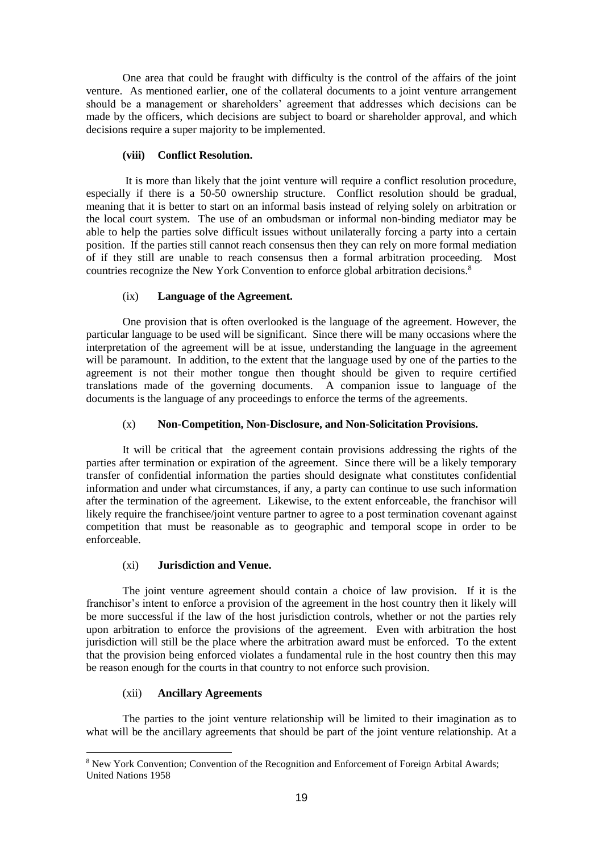One area that could be fraught with difficulty is the control of the affairs of the joint venture. As mentioned earlier, one of the collateral documents to a joint venture arrangement should be a management or shareholders' agreement that addresses which decisions can be made by the officers, which decisions are subject to board or shareholder approval, and which decisions require a super majority to be implemented.

### **(viii) Conflict Resolution.**

It is more than likely that the joint venture will require a conflict resolution procedure, especially if there is a 50-50 ownership structure. Conflict resolution should be gradual, meaning that it is better to start on an informal basis instead of relying solely on arbitration or the local court system. The use of an ombudsman or informal non-binding mediator may be able to help the parties solve difficult issues without unilaterally forcing a party into a certain position. If the parties still cannot reach consensus then they can rely on more formal mediation of if they still are unable to reach consensus then a formal arbitration proceeding. Most countries recognize the New York Convention to enforce global arbitration decisions.<sup>8</sup>

## (ix) **Language of the Agreement.**

One provision that is often overlooked is the language of the agreement. However, the particular language to be used will be significant. Since there will be many occasions where the interpretation of the agreement will be at issue, understanding the language in the agreement will be paramount. In addition, to the extent that the language used by one of the parties to the agreement is not their mother tongue then thought should be given to require certified translations made of the governing documents. A companion issue to language of the documents is the language of any proceedings to enforce the terms of the agreements.

## (x) **Non-Competition, Non-Disclosure, and Non-Solicitation Provisions.**

It will be critical that the agreement contain provisions addressing the rights of the parties after termination or expiration of the agreement. Since there will be a likely temporary transfer of confidential information the parties should designate what constitutes confidential information and under what circumstances, if any, a party can continue to use such information after the termination of the agreement. Likewise, to the extent enforceable, the franchisor will likely require the franchisee/joint venture partner to agree to a post termination covenant against competition that must be reasonable as to geographic and temporal scope in order to be enforceable.

### (xi) **Jurisdiction and Venue.**

The joint venture agreement should contain a choice of law provision. If it is the franchisor's intent to enforce a provision of the agreement in the host country then it likely will be more successful if the law of the host jurisdiction controls, whether or not the parties rely upon arbitration to enforce the provisions of the agreement. Even with arbitration the host jurisdiction will still be the place where the arbitration award must be enforced. To the extent that the provision being enforced violates a fundamental rule in the host country then this may be reason enough for the courts in that country to not enforce such provision.

### (xii) **Ancillary Agreements**

The parties to the joint venture relationship will be limited to their imagination as to what will be the ancillary agreements that should be part of the joint venture relationship. At a

<sup>-</sup><sup>8</sup> New York Convention; Convention of the Recognition and Enforcement of Foreign Arbital Awards; United Nations 1958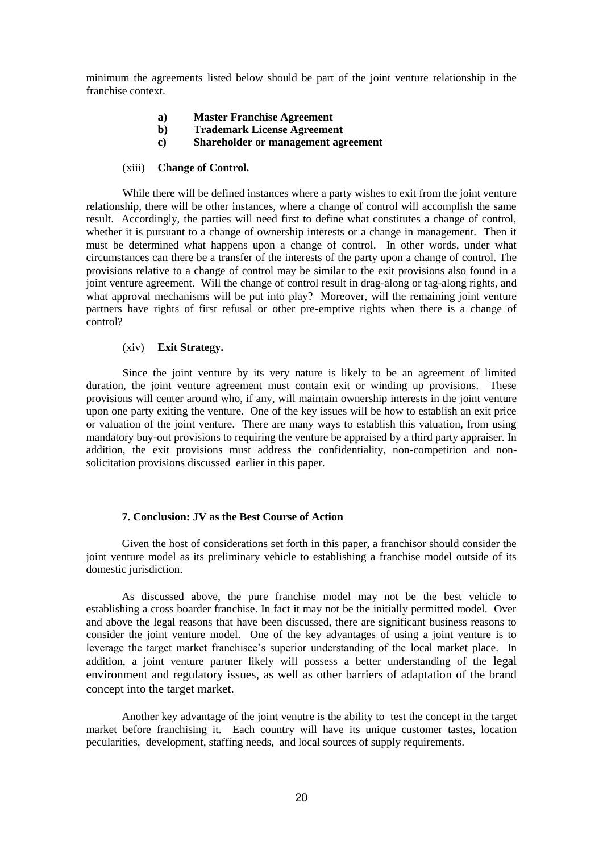minimum the agreements listed below should be part of the joint venture relationship in the franchise context.

- **a) Master Franchise Agreement**
- **b) Trademark License Agreement**
- **c) Shareholder or management agreement**

#### (xiii) **Change of Control.**

While there will be defined instances where a party wishes to exit from the joint venture relationship, there will be other instances, where a change of control will accomplish the same result. Accordingly, the parties will need first to define what constitutes a change of control, whether it is pursuant to a change of ownership interests or a change in management. Then it must be determined what happens upon a change of control. In other words, under what circumstances can there be a transfer of the interests of the party upon a change of control. The provisions relative to a change of control may be similar to the exit provisions also found in a joint venture agreement. Will the change of control result in drag-along or tag-along rights, and what approval mechanisms will be put into play? Moreover, will the remaining joint venture partners have rights of first refusal or other pre-emptive rights when there is a change of control?

#### (xiv) **Exit Strategy.**

Since the joint venture by its very nature is likely to be an agreement of limited duration, the joint venture agreement must contain exit or winding up provisions. These provisions will center around who, if any, will maintain ownership interests in the joint venture upon one party exiting the venture. One of the key issues will be how to establish an exit price or valuation of the joint venture. There are many ways to establish this valuation, from using mandatory buy-out provisions to requiring the venture be appraised by a third party appraiser. In addition, the exit provisions must address the confidentiality, non-competition and nonsolicitation provisions discussed earlier in this paper.

### **7. Conclusion: JV as the Best Course of Action**

Given the host of considerations set forth in this paper, a franchisor should consider the joint venture model as its preliminary vehicle to establishing a franchise model outside of its domestic jurisdiction.

As discussed above, the pure franchise model may not be the best vehicle to establishing a cross boarder franchise. In fact it may not be the initially permitted model. Over and above the legal reasons that have been discussed, there are significant business reasons to consider the joint venture model. One of the key advantages of using a joint venture is to leverage the target market franchisee's superior understanding of the local market place. In addition, a joint venture partner likely will possess a better understanding of the legal environment and regulatory issues, as well as other barriers of adaptation of the brand concept into the target market.

Another key advantage of the joint venutre is the ability to test the concept in the target market before franchising it. Each country will have its unique customer tastes, location pecularities, development, staffing needs, and local sources of supply requirements.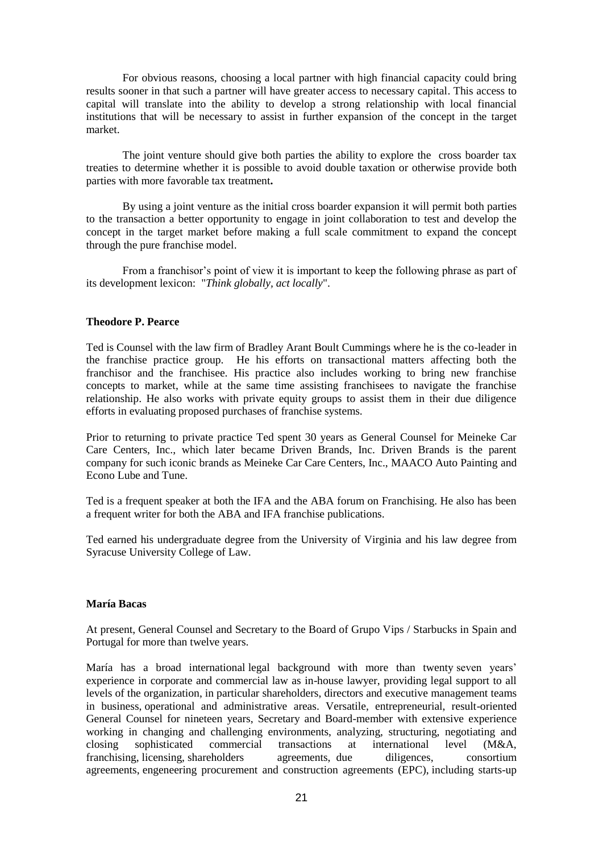For obvious reasons, choosing a local partner with high financial capacity could bring results sooner in that such a partner will have greater access to necessary capital. This access to capital will translate into the ability to develop a strong relationship with local financial institutions that will be necessary to assist in further expansion of the concept in the target market.

The joint venture should give both parties the ability to explore the cross boarder tax treaties to determine whether it is possible to avoid double taxation or otherwise provide both parties with more favorable tax treatment**.**

By using a joint venture as the initial cross boarder expansion it will permit both parties to the transaction a better opportunity to engage in joint collaboration to test and develop the concept in the target market before making a full scale commitment to expand the concept through the pure franchise model.

From a franchisor's point of view it is important to keep the following phrase as part of its development lexicon: "*Think globally, act locally*".

#### **Theodore P. Pearce**

Ted is Counsel with the law firm of Bradley Arant Boult Cummings where he is the co-leader in the franchise practice group. He his efforts on transactional matters affecting both the franchisor and the franchisee. His practice also includes working to bring new franchise concepts to market, while at the same time assisting franchisees to navigate the franchise relationship. He also works with private equity groups to assist them in their due diligence efforts in evaluating proposed purchases of franchise systems.

Prior to returning to private practice Ted spent 30 years as General Counsel for Meineke Car Care Centers, Inc., which later became Driven Brands, Inc. Driven Brands is the parent company for such iconic brands as Meineke Car Care Centers, Inc., MAACO Auto Painting and Econo Lube and Tune.

Ted is a frequent speaker at both the IFA and the ABA forum on Franchising. He also has been a frequent writer for both the ABA and IFA franchise publications.

Ted earned his undergraduate degree from the University of Virginia and his law degree from Syracuse University College of Law.

#### **María Bacas**

At present, General Counsel and Secretary to the Board of Grupo Vips / Starbucks in Spain and Portugal for more than twelve years.

María has a broad international legal background with more than twenty seven years' experience in corporate and commercial law as in-house lawyer, providing legal support to all levels of the organization, in particular shareholders, directors and executive management teams in business, operational and administrative areas. Versatile, entrepreneurial, result-oriented General Counsel for nineteen years, Secretary and Board-member with extensive experience working in changing and challenging environments, analyzing, structuring, negotiating and closing sophisticated commercial transactions at international level (M&A, franchising, licensing, shareholders agreements, due diligences, consortium agreements, engeneering procurement and construction agreements (EPC), including starts-up